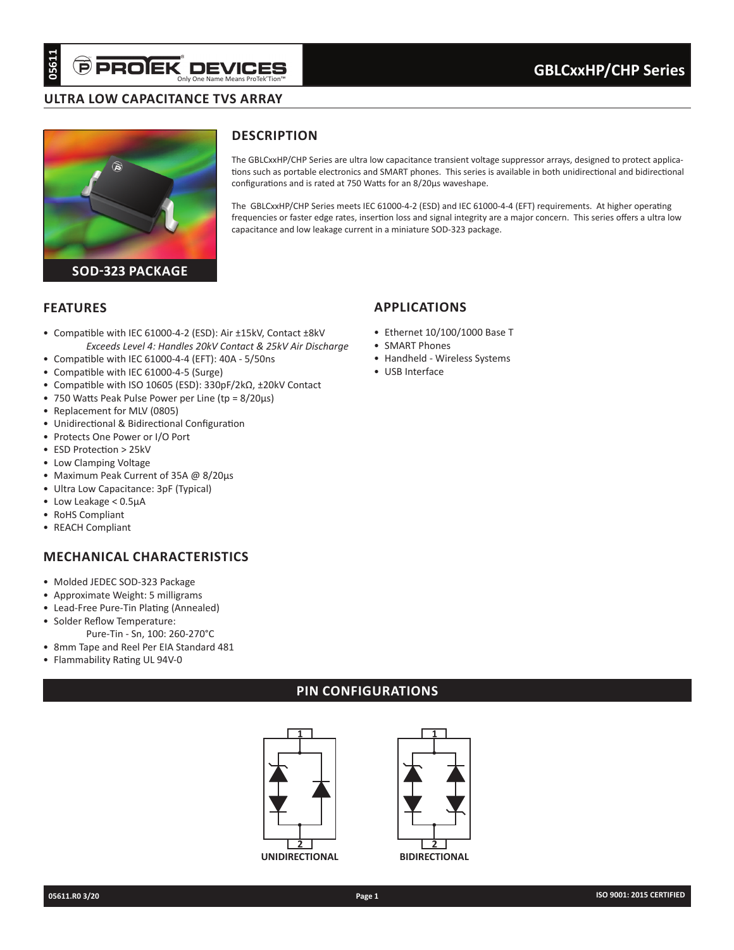# **ultra LOW CAPACITANCE TVS ARRAY**



# **Description**

The GBLCxxHP/CHP Series are ultra low capacitance transient voltage suppressor arrays, designed to protect applications such as portable electronics and SMART phones. This series is available in both unidirectional and bidirectional configurations and is rated at 750 Watts for an 8/20µs waveshape.

The GBLCxxHP/CHP Series meets IEC 61000-4-2 (ESD) and IEC 61000-4-4 (EFT) requirements. At higher operating frequencies or faster edge rates, insertion loss and signal integrity are a major concern. This series offers a ultra low capacitance and low leakage current in a miniature SOD-323 package.

#### **Features**

- Compatible with IEC 61000-4-2 (ESD): Air ±15kV, Contact ±8kV *Exceeds Level 4: Handles 20kV Contact & 25kV Air Discharge*
- Compatible with IEC 61000-4-4 (EFT): 40A 5/50ns
- Compatible with IEC 61000-4-5 (Surge)
- Compatible with ISO 10605 (ESD): 330pF/2kΩ, ±20kV Contact
- 750 Watts Peak Pulse Power per Line (tp = 8/20µs)
- Replacement for MLV (0805)
- Unidirectional & Bidirectional Configuration
- Protects One Power or I/O Port
- ESD Protection > 25kV
- Low Clamping Voltage
- Maximum Peak Current of 35A @ 8/20µs
- Ultra Low Capacitance: 3pF (Typical)
- Low Leakage < 0.5µA
- RoHS Compliant
- REACH Compliant

# **Mechanical characteristics**

- Molded JEDEC SOD-323 Package
- Approximate Weight: 5 milligrams
- Lead-Free Pure-Tin Plating (Annealed)
- Solder Reflow Temperature:
- Pure-Tin Sn, 100: 260-270°C • 8mm Tape and Reel Per EIA Standard 481
- 
- Flammability Rating UL 94V-0

# **PIN CONFIGURATIONs**





**1**

**2**

# **applications**

- Ethernet 10/100/1000 Base T
- SMART Phones
- Handheld Wireless Systems
- USB Interface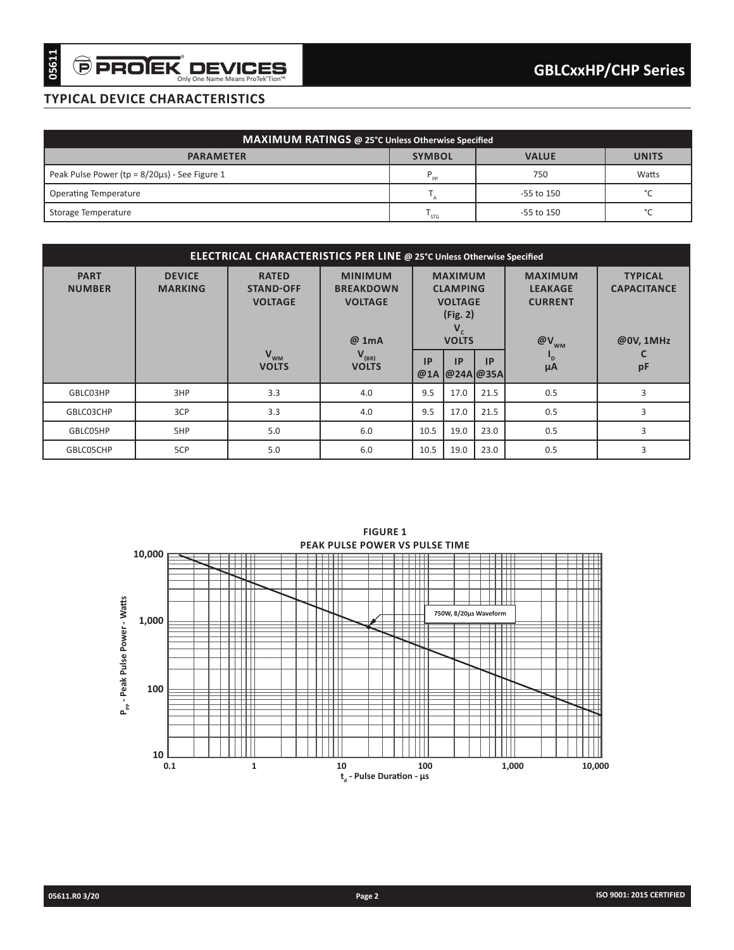# **typical device characteristics**

| MAXIMUM RATINGS @ 25°C Unless Otherwise Specified    |                |                |              |  |  |  |  |
|------------------------------------------------------|----------------|----------------|--------------|--|--|--|--|
| <b>PARAMETER</b>                                     | <b>SYMBOL</b>  | <b>VALUE</b>   | <b>UNITS</b> |  |  |  |  |
| Peak Pulse Power ( $tp = 8/20\mu s$ ) - See Figure 1 | P<br><b>DD</b> | 750            | Watts        |  |  |  |  |
| <b>Operating Temperature</b>                         |                | $-55$ to $150$ | $\sim$       |  |  |  |  |
| Storage Temperature                                  | ' STG          | $-55$ to $150$ | $\sim$       |  |  |  |  |

| ELECTRICAL CHARACTERISTICS PER LINE @ 25°C Unless Otherwise Specified |                                 |                                                    |                                                               |                                                                                       |           |                         |                                                                        |                                                   |  |
|-----------------------------------------------------------------------|---------------------------------|----------------------------------------------------|---------------------------------------------------------------|---------------------------------------------------------------------------------------|-----------|-------------------------|------------------------------------------------------------------------|---------------------------------------------------|--|
| <b>PART</b><br><b>NUMBER</b>                                          | <b>DEVICE</b><br><b>MARKING</b> | <b>RATED</b><br><b>STAND-OFF</b><br><b>VOLTAGE</b> | <b>MINIMUM</b><br><b>BREAKDOWN</b><br><b>VOLTAGE</b><br>@ 1mA | <b>MAXIMUM</b><br><b>CLAMPING</b><br><b>VOLTAGE</b><br>(Fig. 2)<br>V,<br><b>VOLTS</b> |           |                         | <b>MAXIMUM</b><br><b>LEAKAGE</b><br><b>CURRENT</b><br>$\omega_{\rm W}$ | <b>TYPICAL</b><br><b>CAPACITANCE</b><br>@0V, 1MHz |  |
|                                                                       |                                 | $V_{WM}$<br><b>VOLTS</b>                           | $V_{(BR)}$<br><b>VOLTS</b>                                    | IP<br>@1A                                                                             | <b>IP</b> | <b>IP</b><br> @24A @35A | $\mathbf{D}$<br>$\mu A$                                                | pF                                                |  |
| GBLC03HP                                                              | 3HP                             | 3.3                                                | 4.0                                                           | 9.5                                                                                   | 17.0      | 21.5                    | 0.5                                                                    | 3                                                 |  |
| GBLC03CHP                                                             | 3CP                             | 3.3                                                | 4.0                                                           | 9.5                                                                                   | 17.0      | 21.5                    | 0.5                                                                    | 3                                                 |  |
| GBLC05HP                                                              | 5HP                             | 5.0                                                | 6.0                                                           | 10.5                                                                                  | 19.0      | 23.0                    | 0.5                                                                    | 3                                                 |  |
| GBLC05CHP                                                             | 5CP                             | 5.0                                                | 6.0                                                           | 10.5                                                                                  | 19.0      | 23.0                    | 0.5                                                                    | 3                                                 |  |

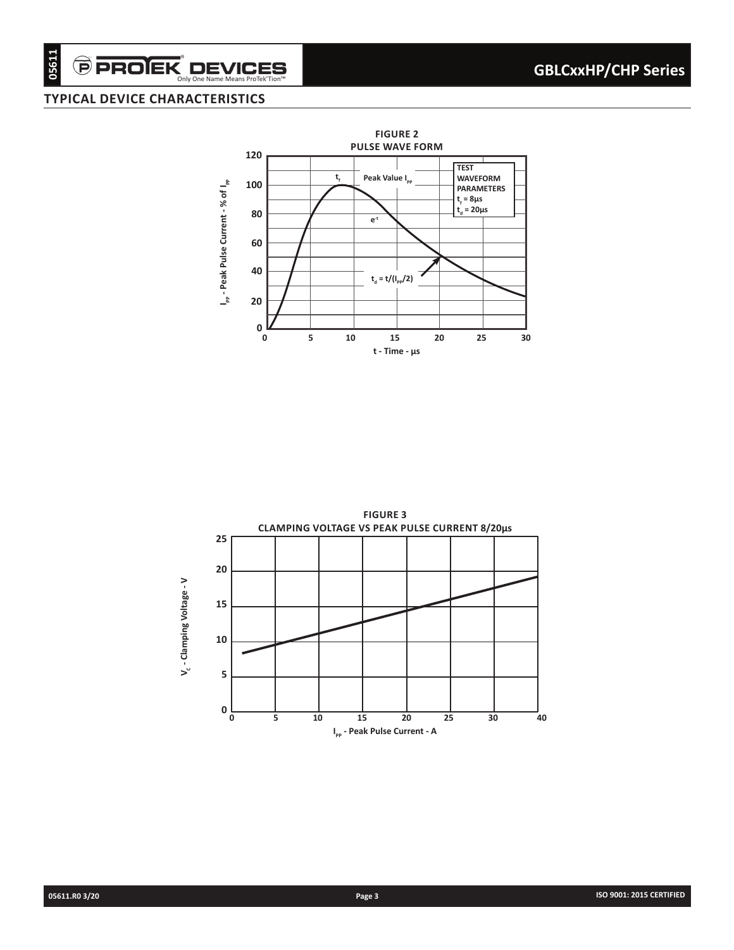# $\widehat{\boldsymbol{\Theta}}$  PROIEK $\operatorname*{D}\textbf{EVICES}_{\textbf{Only One Name Mean ProtekTion"}}$

# **typical device characteristics**



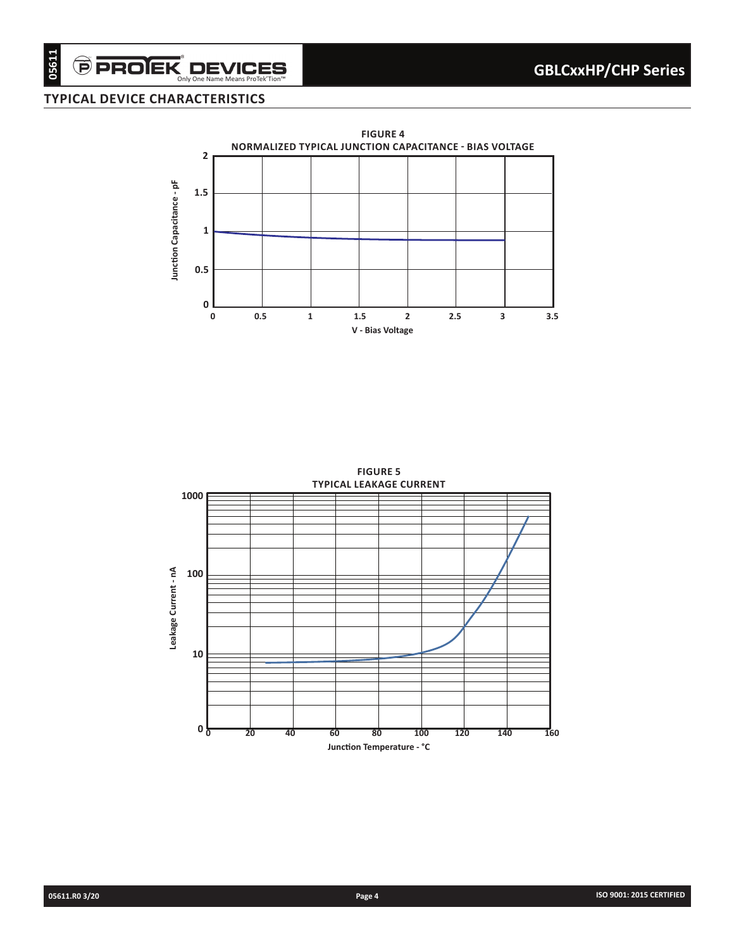# $\widehat{\boldsymbol{\Theta}}$  PROIEK $\mathop{\text{DEWIES}}\limits^\circ$  DEVICES **typical device characteristics**



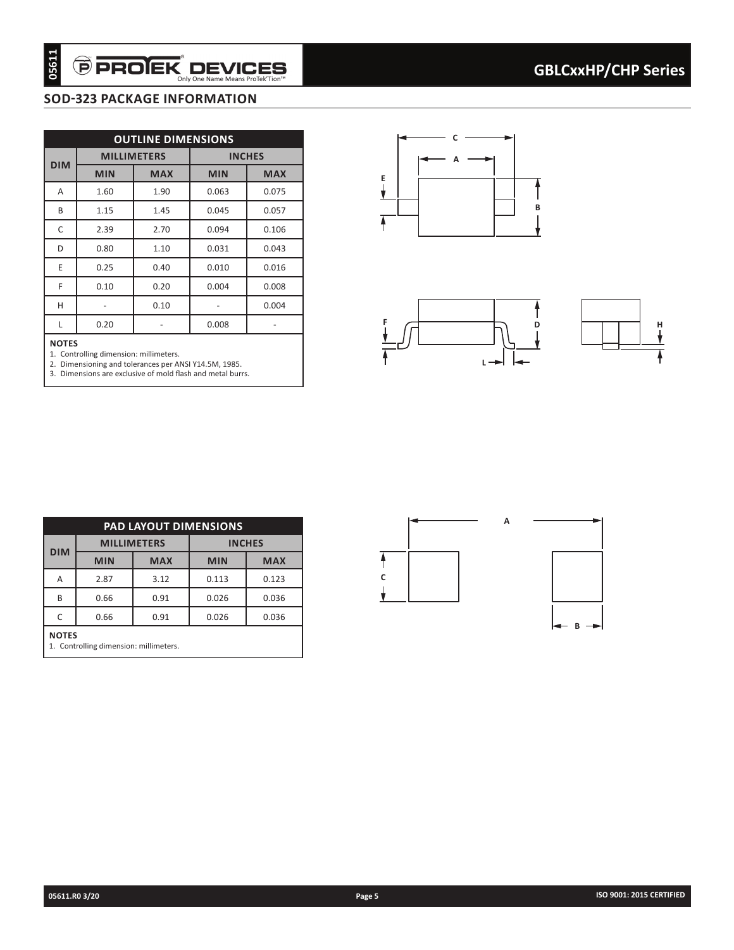# **SOD-323 package information**

| <b>OUTLINE DIMENSIONS</b><br><b>MILLIMETERS</b><br><b>INCHES</b><br><b>DIM</b><br><b>MIN</b><br><b>MAX</b><br><b>MIN</b><br><b>MAX</b><br>1.60<br>1.90<br>0.063<br>0.075<br>1.15<br>1.45<br>0.045<br>0.057<br>2.70<br>2.39<br>0.106<br>0.094<br>0.80<br>1.10<br>0.031<br>0.043<br>0.25<br>0.40<br>0.010<br>0.016<br>0.10<br>0.20<br>0.004<br>0.008<br>0.10<br>0.004<br>$\overline{\phantom{a}}$<br>$\blacksquare$<br>0.20<br>0.008<br>-<br>- | 1. Controlling dimension: millimeters.<br>2. Dimensioning and tolerances per ANSI Y14.5M, 1985.<br>3. Dimensions are exclusive of mold flash and metal burrs.<br><b>PAD LAYOUT DIMENSIONS</b> |
|----------------------------------------------------------------------------------------------------------------------------------------------------------------------------------------------------------------------------------------------------------------------------------------------------------------------------------------------------------------------------------------------------------------------------------------------|-----------------------------------------------------------------------------------------------------------------------------------------------------------------------------------------------|
|                                                                                                                                                                                                                                                                                                                                                                                                                                              |                                                                                                                                                                                               |
|                                                                                                                                                                                                                                                                                                                                                                                                                                              |                                                                                                                                                                                               |
|                                                                                                                                                                                                                                                                                                                                                                                                                                              |                                                                                                                                                                                               |
|                                                                                                                                                                                                                                                                                                                                                                                                                                              |                                                                                                                                                                                               |
|                                                                                                                                                                                                                                                                                                                                                                                                                                              |                                                                                                                                                                                               |
|                                                                                                                                                                                                                                                                                                                                                                                                                                              |                                                                                                                                                                                               |
|                                                                                                                                                                                                                                                                                                                                                                                                                                              |                                                                                                                                                                                               |
|                                                                                                                                                                                                                                                                                                                                                                                                                                              |                                                                                                                                                                                               |
|                                                                                                                                                                                                                                                                                                                                                                                                                                              |                                                                                                                                                                                               |
|                                                                                                                                                                                                                                                                                                                                                                                                                                              |                                                                                                                                                                                               |
|                                                                                                                                                                                                                                                                                                                                                                                                                                              |                                                                                                                                                                                               |
|                                                                                                                                                                                                                                                                                                                                                                                                                                              | <b>INCHES</b>                                                                                                                                                                                 |
| <b>MILLIMETERS</b>                                                                                                                                                                                                                                                                                                                                                                                                                           | <b>MAX</b><br><b>MIN</b>                                                                                                                                                                      |
| <b>DIM</b><br><b>MAX</b><br><b>MIN</b>                                                                                                                                                                                                                                                                                                                                                                                                       | 3.12<br>0.113                                                                                                                                                                                 |
| 0.123<br>2.87                                                                                                                                                                                                                                                                                                                                                                                                                                | 0.91<br>0.026                                                                                                                                                                                 |
| 0.66<br>0.036                                                                                                                                                                                                                                                                                                                                                                                                                                | 0.026<br>0.66<br>0.91<br>0.036                                                                                                                                                                |
|                                                                                                                                                                                                                                                                                                                                                                                                                                              |                                                                                                                                                                                               |
|                                                                                                                                                                                                                                                                                                                                                                                                                                              |                                                                                                                                                                                               |
|                                                                                                                                                                                                                                                                                                                                                                                                                                              |                                                                                                                                                                                               |
|                                                                                                                                                                                                                                                                                                                                                                                                                                              |                                                                                                                                                                                               |
|                                                                                                                                                                                                                                                                                                                                                                                                                                              |                                                                                                                                                                                               |

#### **NOTES**





| <b>PAD LAYOUT DIMENSIONS</b>                           |            |                    |               |            |  |  |  |  |
|--------------------------------------------------------|------------|--------------------|---------------|------------|--|--|--|--|
| <b>DIM</b>                                             |            | <b>MILLIMETERS</b> | <b>INCHES</b> |            |  |  |  |  |
|                                                        | <b>MIN</b> | <b>MAX</b>         | <b>MIN</b>    | <b>MAX</b> |  |  |  |  |
| Α                                                      | 2.87       | 3.12               | 0.113         | 0.123      |  |  |  |  |
| B                                                      | 0.66       | 0.91               | 0.026         | 0.036      |  |  |  |  |
| 0.91<br>C<br>0.66<br>0.026<br>0.036                    |            |                    |               |            |  |  |  |  |
| <b>NOTES</b><br>1. Controlling dimension: millimeters. |            |                    |               |            |  |  |  |  |

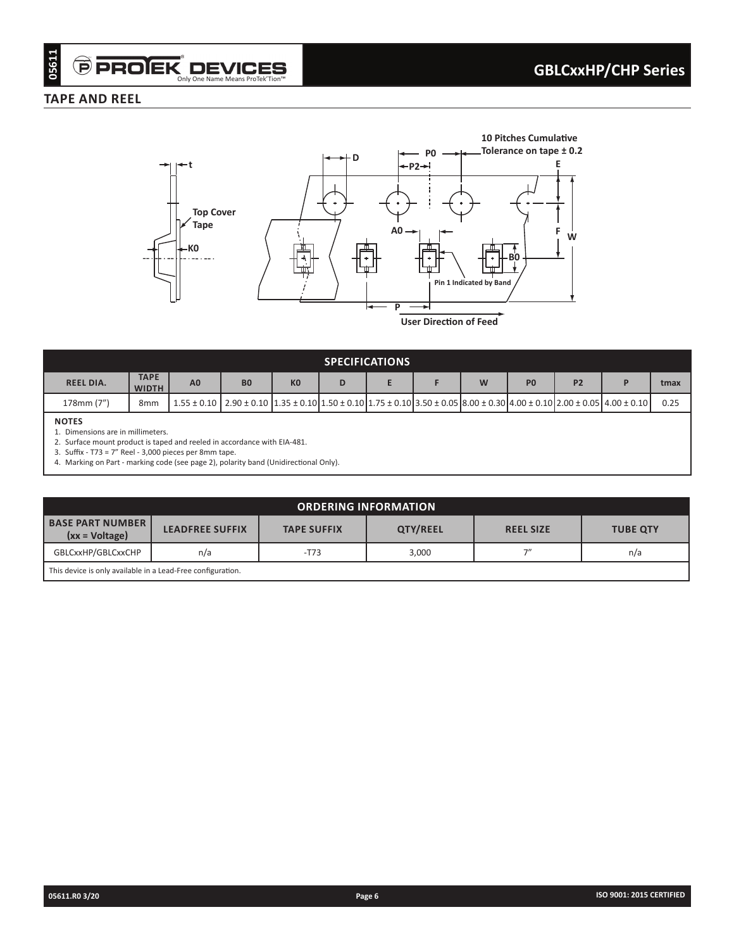### **TAPE AND REEL**



| <b>SPECIFICATIONS</b>                                   |                             |                                                                                                                                                                 |                |                |   |  |  |  |                |                |  |      |
|---------------------------------------------------------|-----------------------------|-----------------------------------------------------------------------------------------------------------------------------------------------------------------|----------------|----------------|---|--|--|--|----------------|----------------|--|------|
| <b>REEL DIA.</b>                                        | <b>TAPE</b><br><b>WIDTH</b> | A <sub>0</sub>                                                                                                                                                  | B <sub>0</sub> | K <sub>0</sub> | D |  |  |  | P <sub>0</sub> | P <sub>2</sub> |  | tmax |
| 178mm (7")                                              | 8 <sub>mm</sub>             | $1.55 \pm 0.10$ $2.90 \pm 0.10$ $1.35 \pm 0.10$ $1.50 \pm 0.10$ $1.75 \pm 0.10$ $3.50 \pm 0.05$ $8.00 \pm 0.30$ $4.00 \pm 0.10$ $2.00 \pm 0.05$ $4.00 \pm 0.10$ |                |                |   |  |  |  |                |                |  | 0.25 |
| <b>NOTES</b><br>4. Discoverience and in additionations. |                             |                                                                                                                                                                 |                |                |   |  |  |  |                |                |  |      |

1. Dimensions are in millimeters. 2. Surface mount product is taped and reeled in accordance with EIA-481.

3. Suffix - T73 = 7" Reel - 3,000 pieces per 8mm tape.

4. Marking on Part - marking code (see page 2), polarity band (Unidirectional Only).

| <b>ORDERING INFORMATION</b>                                 |                                                                                                 |        |       |    |     |  |  |  |
|-------------------------------------------------------------|-------------------------------------------------------------------------------------------------|--------|-------|----|-----|--|--|--|
| <b>BASE PART NUMBER</b><br>$(xx = Voltage)$                 | QTY/REEL<br><b>LEADFREE SUFFIX</b><br><b>TAPE SUFFIX</b><br><b>REEL SIZE</b><br><b>TUBE QTY</b> |        |       |    |     |  |  |  |
| GBLCxxHP/GBLCxxCHP                                          | n/a                                                                                             | $-T73$ | 3,000 | フ" | n/a |  |  |  |
| This device is only available in a Lead-Free configuration. |                                                                                                 |        |       |    |     |  |  |  |